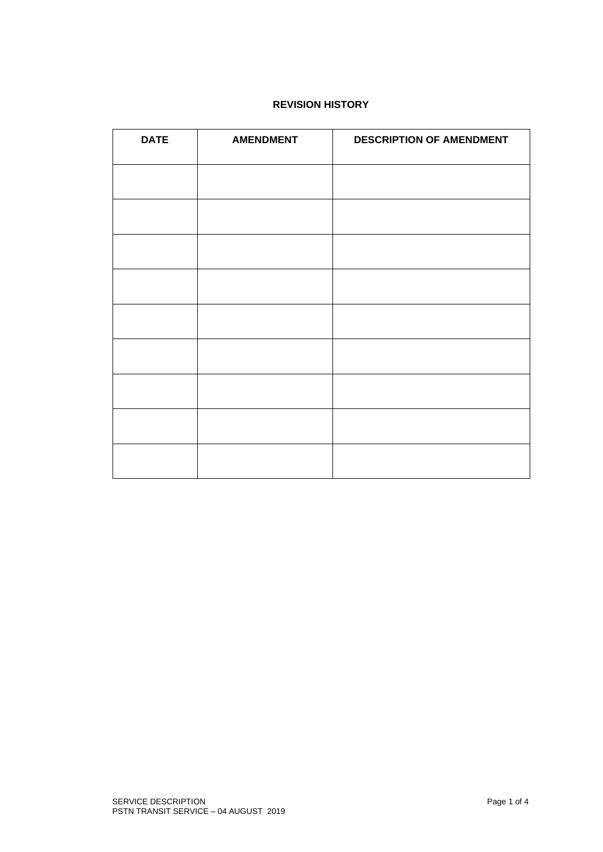# **REVISION HISTORY**

| <b>DATE</b> | <b>AMENDMENT</b> | <b>DESCRIPTION OF AMENDMENT</b> |
|-------------|------------------|---------------------------------|
|             |                  |                                 |
|             |                  |                                 |
|             |                  |                                 |
|             |                  |                                 |
|             |                  |                                 |
|             |                  |                                 |
|             |                  |                                 |
|             |                  |                                 |
|             |                  |                                 |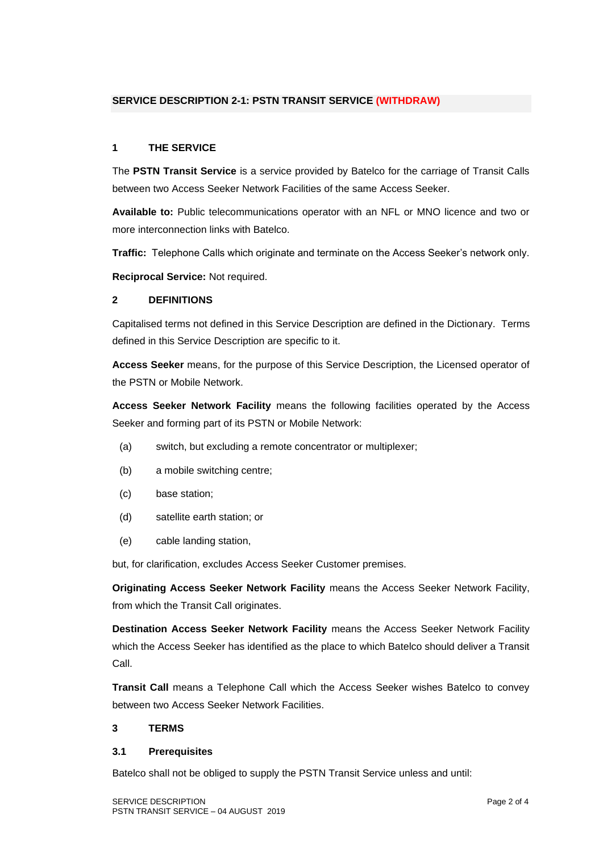## **SERVICE DESCRIPTION 2-1: PSTN TRANSIT SERVICE (WITHDRAW)**

### **1 THE SERVICE**

The **PSTN Transit Service** is a service provided by Batelco for the carriage of Transit Calls between two Access Seeker Network Facilities of the same Access Seeker.

**Available to:** Public telecommunications operator with an NFL or MNO licence and two or more interconnection links with Batelco.

**Traffic:** Telephone Calls which originate and terminate on the Access Seeker's network only.

**Reciprocal Service:** Not required.

#### **2 DEFINITIONS**

Capitalised terms not defined in this Service Description are defined in the Dictionary. Terms defined in this Service Description are specific to it.

**Access Seeker** means, for the purpose of this Service Description, the Licensed operator of the PSTN or Mobile Network.

**Access Seeker Network Facility** means the following facilities operated by the Access Seeker and forming part of its PSTN or Mobile Network:

- (a) switch, but excluding a remote concentrator or multiplexer;
- (b) a mobile switching centre;
- (c) base station;
- (d) satellite earth station; or
- (e) cable landing station,

but, for clarification, excludes Access Seeker Customer premises.

**Originating Access Seeker Network Facility** means the Access Seeker Network Facility, from which the Transit Call originates.

**Destination Access Seeker Network Facility** means the Access Seeker Network Facility which the Access Seeker has identified as the place to which Batelco should deliver a Transit Call.

**Transit Call** means a Telephone Call which the Access Seeker wishes Batelco to convey between two Access Seeker Network Facilities.

#### **3 TERMS**

#### **3.1 Prerequisites**

Batelco shall not be obliged to supply the PSTN Transit Service unless and until: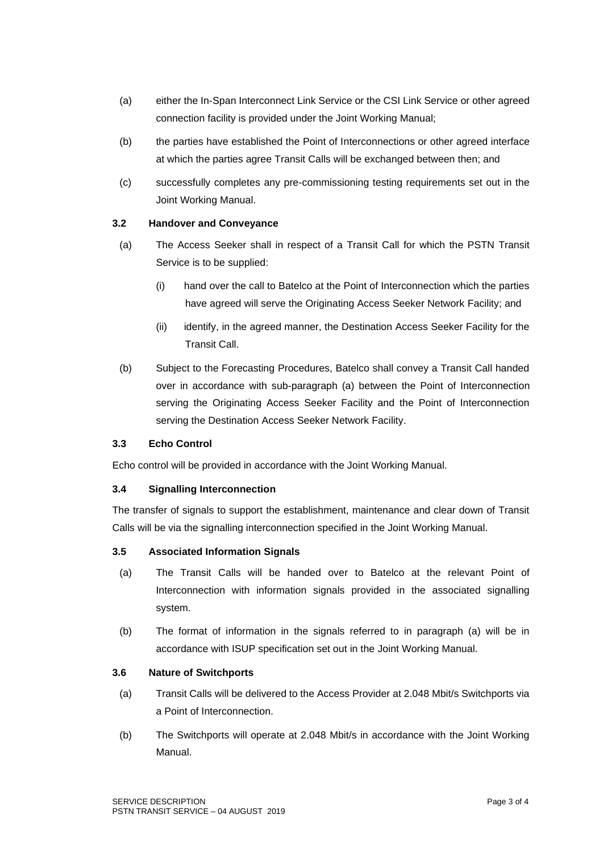- (a) either the In-Span Interconnect Link Service or the CSI Link Service or other agreed connection facility is provided under the Joint Working Manual;
- (b) the parties have established the Point of Interconnections or other agreed interface at which the parties agree Transit Calls will be exchanged between then; and
- (c) successfully completes any pre-commissioning testing requirements set out in the Joint Working Manual.

## **3.2 Handover and Conveyance**

- (a) The Access Seeker shall in respect of a Transit Call for which the PSTN Transit Service is to be supplied:
	- (i) hand over the call to Batelco at the Point of Interconnection which the parties have agreed will serve the Originating Access Seeker Network Facility; and
	- (ii) identify, in the agreed manner, the Destination Access Seeker Facility for the Transit Call.
- (b) Subject to the Forecasting Procedures, Batelco shall convey a Transit Call handed over in accordance with sub-paragraph (a) between the Point of Interconnection serving the Originating Access Seeker Facility and the Point of Interconnection serving the Destination Access Seeker Network Facility.

# **3.3 Echo Control**

Echo control will be provided in accordance with the Joint Working Manual.

## **3.4 Signalling Interconnection**

The transfer of signals to support the establishment, maintenance and clear down of Transit Calls will be via the signalling interconnection specified in the Joint Working Manual.

## **3.5 Associated Information Signals**

- (a) The Transit Calls will be handed over to Batelco at the relevant Point of Interconnection with information signals provided in the associated signalling system.
- (b) The format of information in the signals referred to in paragraph (a) will be in accordance with ISUP specification set out in the Joint Working Manual.

## **3.6 Nature of Switchports**

- (a) Transit Calls will be delivered to the Access Provider at 2.048 Mbit/s Switchports via a Point of Interconnection.
- (b) The Switchports will operate at 2.048 Mbit/s in accordance with the Joint Working Manual.